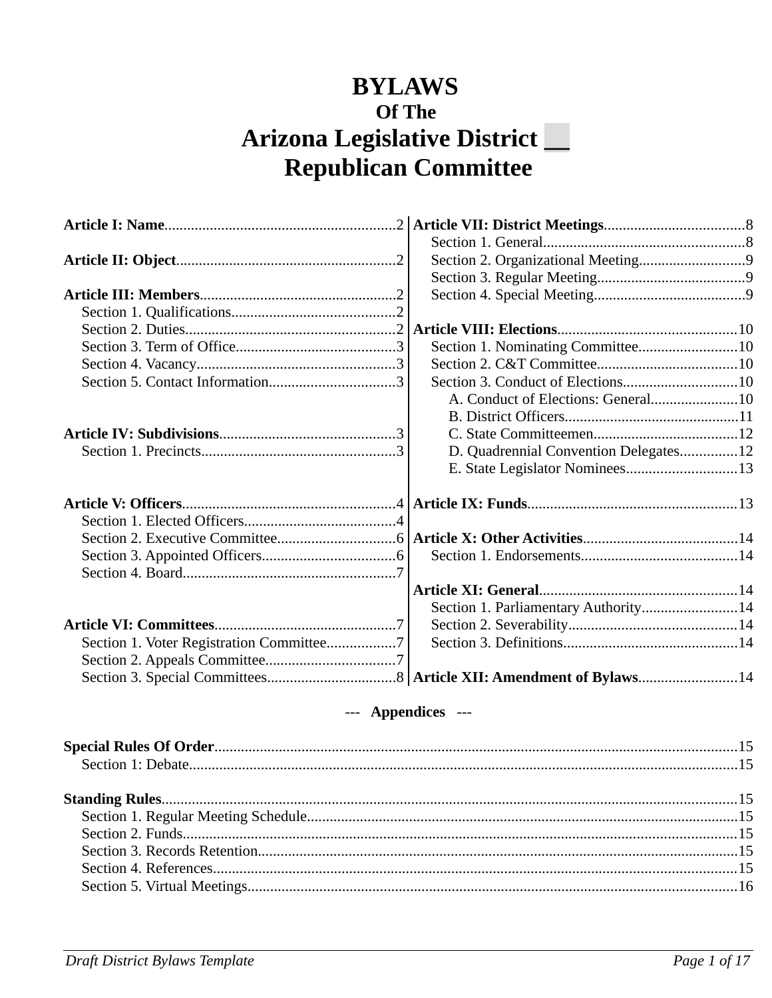## **BYLAWS Of The Arizona Legislative District \_\_ Republican Committee**

|                                          | Section 2. Organizational Meeting9    |  |
|------------------------------------------|---------------------------------------|--|
|                                          |                                       |  |
|                                          |                                       |  |
|                                          |                                       |  |
|                                          |                                       |  |
|                                          | Section 1. Nominating Committee10     |  |
|                                          |                                       |  |
|                                          | Section 3. Conduct of Elections10     |  |
|                                          | A. Conduct of Elections: General10    |  |
|                                          |                                       |  |
|                                          |                                       |  |
|                                          | D. Quadrennial Convention Delegates12 |  |
|                                          | E. State Legislator Nominees13        |  |
|                                          |                                       |  |
|                                          |                                       |  |
|                                          |                                       |  |
|                                          |                                       |  |
|                                          |                                       |  |
|                                          |                                       |  |
|                                          |                                       |  |
|                                          | Section 1. Parliamentary Authority14  |  |
|                                          |                                       |  |
| Section 1. Voter Registration Committee7 |                                       |  |
|                                          |                                       |  |
|                                          |                                       |  |
|                                          |                                       |  |

## --- **Appendices** ---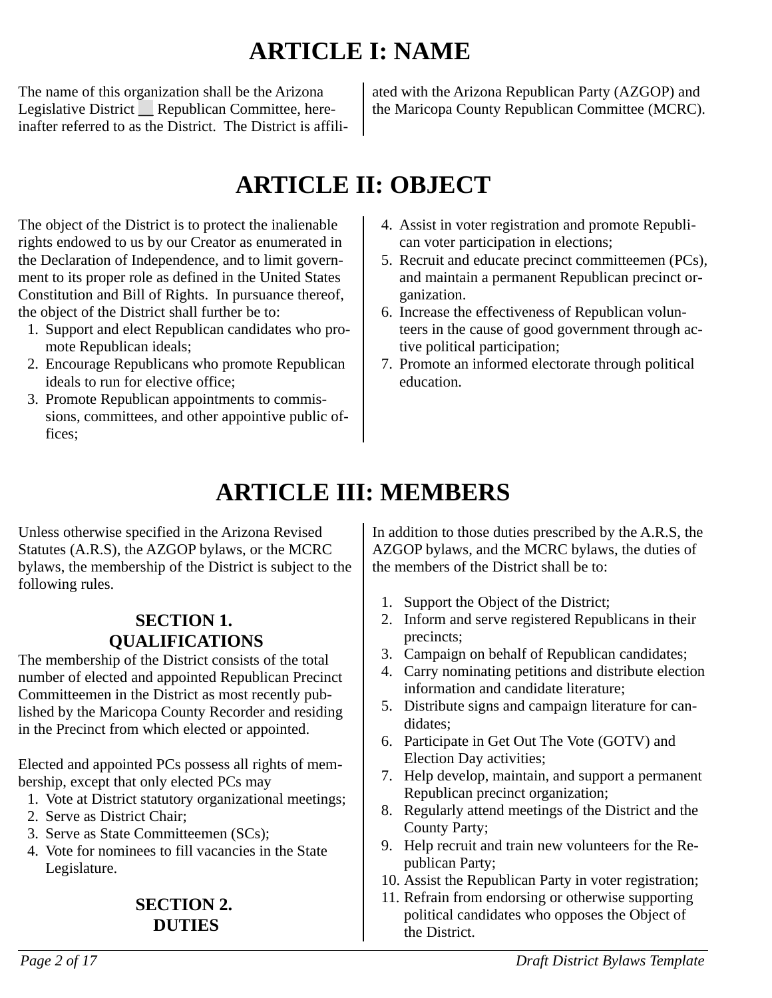## <span id="page-1-0"></span>**ARTICLE I: NAME**

The name of this organization shall be the Arizona Legislative District Republican Committee, hereinafter referred to as the District. The District is affili-

ated with the Arizona Republican Party (AZGOP) and the Maricopa County Republican Committee (MCRC).

## <span id="page-1-4"></span>**ARTICLE II: OBJECT**

The object of the District is to protect the inalienable rights endowed to us by our Creator as enumerated in the Declaration of Independence, and to limit government to its proper role as defined in the United States Constitution and Bill of Rights. In pursuance thereof, the object of the District shall further be to:

- 1. Support and elect Republican candidates who promote Republican ideals;
- 2. Encourage Republicans who promote Republican ideals to run for elective office;
- 3. Promote Republican appointments to commissions, committees, and other appointive public offices;
- 4. Assist in voter registration and promote Republican voter participation in elections;
- 5. Recruit and educate precinct committeemen (PCs), and maintain a permanent Republican precinct organization.
- 6. Increase the effectiveness of Republican volunteers in the cause of good government through active political participation;
- 7. Promote an informed electorate through political education.

## <span id="page-1-3"></span>**ARTICLE III: MEMBERS**

Unless otherwise specified in the Arizona Revised Statutes (A.R.S), the AZGOP bylaws, or the MCRC bylaws, the membership of the District is subject to the following rules.

#### <span id="page-1-2"></span>**SECTION 1. QUALIFICATIONS**

The membership of the District consists of the total number of elected and appointed Republican Precinct Committeemen in the District as most recently published by the Maricopa County Recorder and residing in the Precinct from which elected or appointed.

Elected and appointed PCs possess all rights of membership, except that only elected PCs may

- 1. Vote at District statutory organizational meetings;
- 2. Serve as District Chair;
- 3. Serve as State Committeemen (SCs);
- 4. Vote for nominees to fill vacancies in the State Legislature.

## <span id="page-1-1"></span>**SECTION 2. DUTIES**

In addition to those duties prescribed by the A.R.S, the AZGOP bylaws, and the MCRC bylaws, the duties of the members of the District shall be to:

- 1. Support the Object of the District;
- 2. Inform and serve registered Republicans in their precincts;
- 3. Campaign on behalf of Republican candidates;
- 4. Carry nominating petitions and distribute election information and candidate literature;
- 5. Distribute signs and campaign literature for candidates;
- 6. Participate in Get Out The Vote (GOTV) and Election Day activities;
- 7. Help develop, maintain, and support a permanent Republican precinct organization;
- 8. Regularly attend meetings of the District and the County Party;
- 9. Help recruit and train new volunteers for the Republican Party;
- 10. Assist the Republican Party in voter registration;
- 11. Refrain from endorsing or otherwise supporting political candidates who opposes the Object of the District.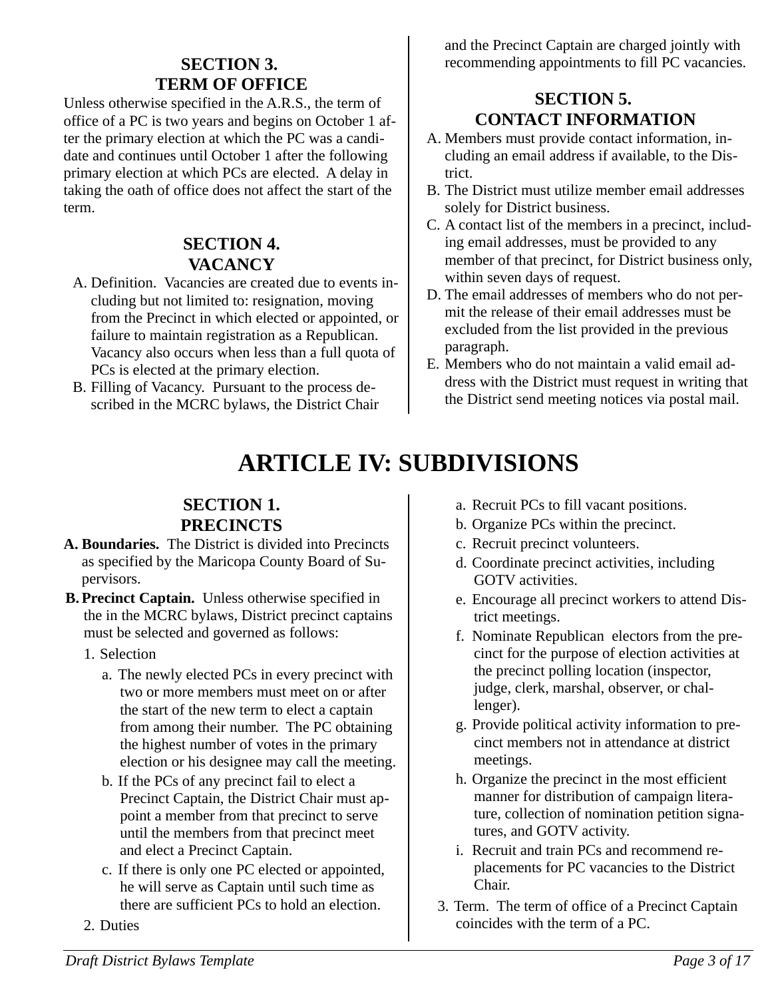## <span id="page-2-4"></span>**SECTION 3. TERM OF OFFICE**

Unless otherwise specified in the A.R.S., the term of office of a PC is two years and begins on October 1 after the primary election at which the PC was a candidate and continues until October 1 after the following primary election at which PCs are elected. A delay in taking the oath of office does not affect the start of the term.

## <span id="page-2-3"></span>**SECTION 4. VACANCY**

- A. Definition. Vacancies are created due to events including but not limited to: resignation, moving from the Precinct in which elected or appointed, or failure to maintain registration as a Republican. Vacancy also occurs when less than a full quota of PCs is elected at the primary election.
- B. Filling of Vacancy. Pursuant to the process described in the MCRC bylaws, the District Chair

and the Precinct Captain are charged jointly with recommending appointments to fill PC vacancies.

## <span id="page-2-2"></span>**SECTION 5. CONTACT INFORMATION**

- A. Members must provide contact information, including an email address if available, to the District.
- B. The District must utilize member email addresses solely for District business.
- C. A contact list of the members in a precinct, including email addresses, must be provided to any member of that precinct, for District business only, within seven days of request.
- D. The email addresses of members who do not permit the release of their email addresses must be excluded from the list provided in the previous paragraph.
- E. Members who do not maintain a valid email address with the District must request in writing that the District send meeting notices via postal mail.

## <span id="page-2-1"></span>**ARTICLE IV: SUBDIVISIONS**

## <span id="page-2-0"></span>**SECTION 1. PRECINCTS**

- **A. Boundaries.** The District is divided into Precincts as specified by the Maricopa County Board of Supervisors.
- **B. Precinct Captain.** Unless otherwise specified in the in the MCRC bylaws, District precinct captains must be selected and governed as follows:
	- 1. Selection
		- a. The newly elected PCs in every precinct with two or more members must meet on or after the start of the new term to elect a captain from among their number. The PC obtaining the highest number of votes in the primary election or his designee may call the meeting.
		- b. If the PCs of any precinct fail to elect a Precinct Captain, the District Chair must appoint a member from that precinct to serve until the members from that precinct meet and elect a Precinct Captain.
		- c. If there is only one PC elected or appointed, he will serve as Captain until such time as there are sufficient PCs to hold an election.
	- 2. Duties
- a. Recruit PCs to fill vacant positions.
- b. Organize PCs within the precinct.
- c. Recruit precinct volunteers.
- d. Coordinate precinct activities, including GOTV activities.
- e. Encourage all precinct workers to attend District meetings.
- f. Nominate Republican electors from the precinct for the purpose of election activities at the precinct polling location (inspector, judge, clerk, marshal, observer, or challenger).
- g. Provide political activity information to precinct members not in attendance at district meetings.
- h. Organize the precinct in the most efficient manner for distribution of campaign literature, collection of nomination petition signatures, and GOTV activity.
- i. Recruit and train PCs and recommend replacements for PC vacancies to the District Chair.
- 3. Term. The term of office of a Precinct Captain coincides with the term of a PC.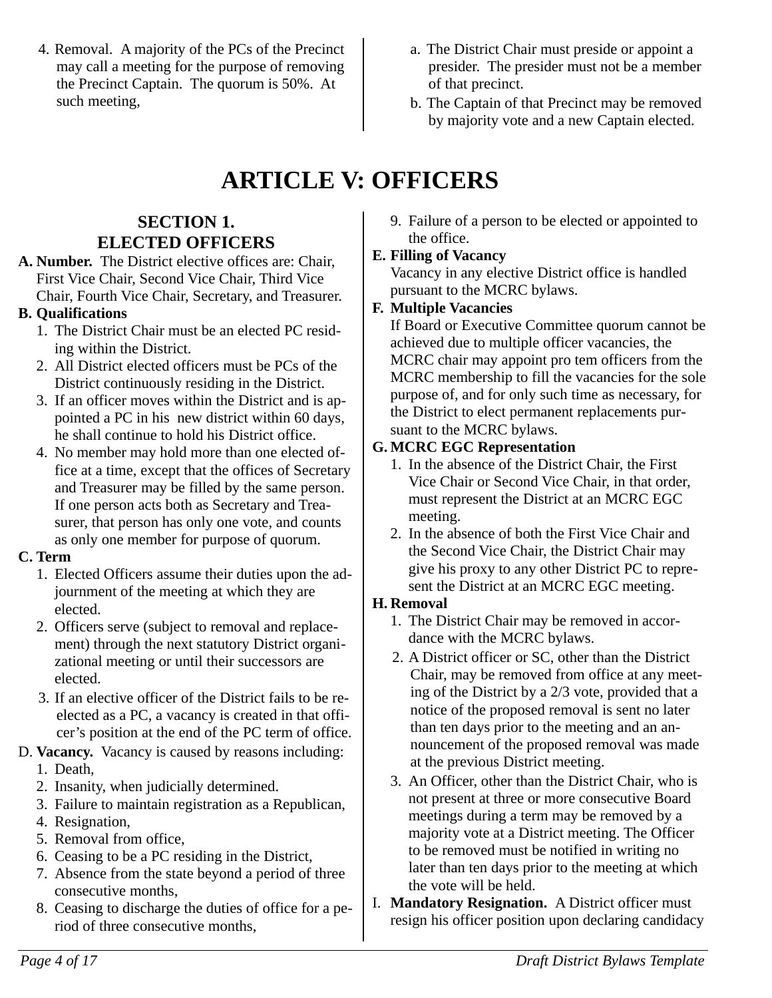- 4. Removal. A majority of the PCs of the Precinct may call a meeting for the purpose of removing the Precinct Captain. The quorum is 50%. At such meeting,
- a. The District Chair must preside or appoint a presider. The presider must not be a member of that precinct.
- b. The Captain of that Precinct may be removed by majority vote and a new Captain elected.

## <span id="page-3-1"></span>**ARTICLE V: OFFICERS**

## <span id="page-3-0"></span>**SECTION 1. ELECTED OFFICERS**

**A. Number.** The District elective offices are: Chair, First Vice Chair, Second Vice Chair, Third Vice Chair, Fourth Vice Chair, Secretary, and Treasurer.

#### **B. Qualifications**

- 1. The District Chair must be an elected PC residing within the District.
- 2. All District elected officers must be PCs of the District continuously residing in the District.
- 3. If an officer moves within the District and is appointed a PC in his new district within 60 days, he shall continue to hold his District office.
- 4. No member may hold more than one elected office at a time, except that the offices of Secretary and Treasurer may be filled by the same person. If one person acts both as Secretary and Treasurer, that person has only one vote, and counts as only one member for purpose of quorum.

#### **C. Term**

- 1. Elected Officers assume their duties upon the adjournment of the meeting at which they are elected.
- 2. Officers serve (subject to removal and replacement) through the next statutory District organizational meeting or until their successors are elected.
- 3. If an elective officer of the District fails to be reelected as a PC, a vacancy is created in that officer's position at the end of the PC term of office.
- D. **Vacancy.** Vacancy is caused by reasons including: 1. Death,
	- 2. Insanity, when judicially determined.
	- 3. Failure to maintain registration as a Republican,
	- 4. Resignation,
	- 5. Removal from office,
	- 6. Ceasing to be a PC residing in the District,
	- 7. Absence from the state beyond a period of three consecutive months,
	- 8. Ceasing to discharge the duties of office for a period of three consecutive months,

9. Failure of a person to be elected or appointed to the office.

## **E. Filling of Vacancy**

Vacancy in any elective District office is handled pursuant to the MCRC bylaws.

## **F. Multiple Vacancies**

If Board or Executive Committee quorum cannot be achieved due to multiple officer vacancies, the MCRC chair may appoint pro tem officers from the MCRC membership to fill the vacancies for the sole purpose of, and for only such time as necessary, for the District to elect permanent replacements pursuant to the MCRC bylaws.

## **G. MCRC EGC Representation**

- 1. In the absence of the District Chair, the First Vice Chair or Second Vice Chair, in that order, must represent the District at an MCRC EGC meeting.
- 2. In the absence of both the First Vice Chair and the Second Vice Chair, the District Chair may give his proxy to any other District PC to represent the District at an MCRC EGC meeting.

## **H. Removal**

- 1. The District Chair may be removed in accordance with the MCRC bylaws.
- 2. A District officer or SC, other than the District Chair, may be removed from office at any meeting of the District by a 2/3 vote, provided that a notice of the proposed removal is sent no later than ten days prior to the meeting and an announcement of the proposed removal was made at the previous District meeting.
- 3. An Officer, other than the District Chair, who is not present at three or more consecutive Board meetings during a term may be removed by a majority vote at a District meeting. The Officer to be removed must be notified in writing no later than ten days prior to the meeting at which the vote will be held.
- I. **Mandatory Resignation.** A District officer must resign his officer position upon declaring candidacy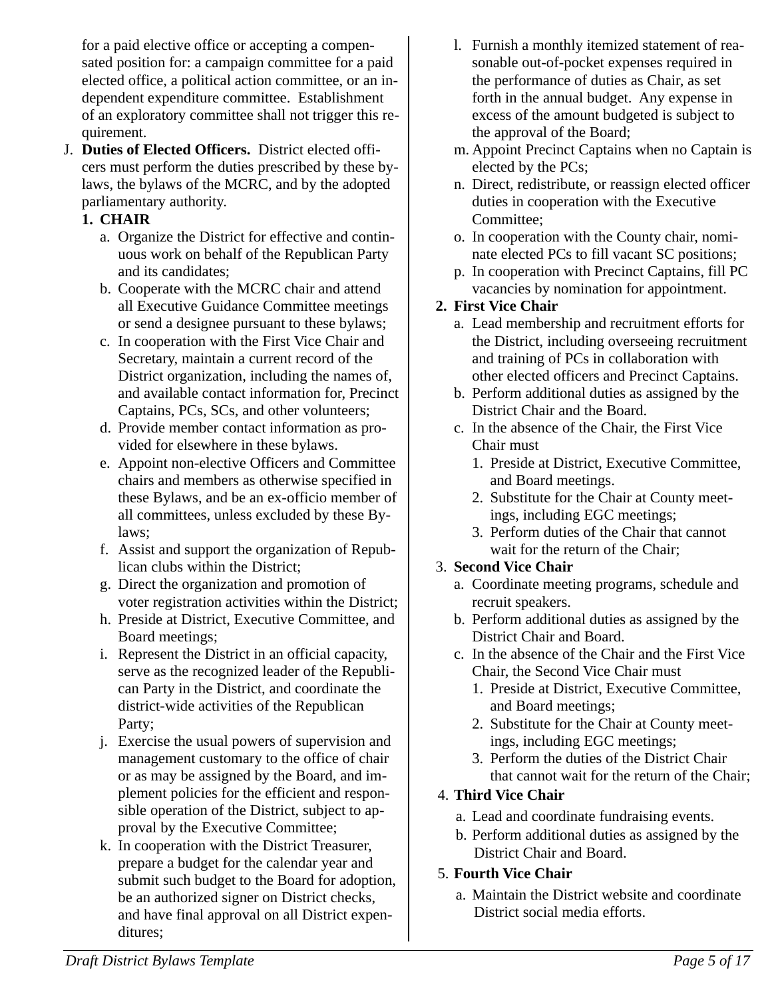for a paid elective office or accepting a compensated position for: a campaign committee for a paid elected office, a political action committee, or an independent expenditure committee. Establishment of an exploratory committee shall not trigger this requirement.

J. **Duties of Elected Officers.** District elected officers must perform the duties prescribed by these bylaws, the bylaws of the MCRC, and by the adopted parliamentary authority.

#### **1. CHAIR**

- a. Organize the District for effective and continuous work on behalf of the Republican Party and its candidates;
- b. Cooperate with the MCRC chair and attend all Executive Guidance Committee meetings or send a designee pursuant to these bylaws;
- c. In cooperation with the First Vice Chair and Secretary, maintain a current record of the District organization, including the names of, and available contact information for, Precinct Captains, PCs, SCs, and other volunteers;
- d. Provide member contact information as provided for elsewhere in these bylaws.
- e. Appoint non-elective Officers and Committee chairs and members as otherwise specified in these Bylaws, and be an ex-officio member of all committees, unless excluded by these Bylaws;
- f. Assist and support the organization of Republican clubs within the District;
- g. Direct the organization and promotion of voter registration activities within the District;
- h. Preside at District, Executive Committee, and Board meetings;
- i. Represent the District in an official capacity, serve as the recognized leader of the Republican Party in the District, and coordinate the district-wide activities of the Republican Party;
- j. Exercise the usual powers of supervision and management customary to the office of chair or as may be assigned by the Board, and implement policies for the efficient and responsible operation of the District, subject to approval by the Executive Committee;
- k. In cooperation with the District Treasurer, prepare a budget for the calendar year and submit such budget to the Board for adoption, be an authorized signer on District checks, and have final approval on all District expenditures;
- l. Furnish a monthly itemized statement of reasonable out-of-pocket expenses required in the performance of duties as Chair, as set forth in the annual budget. Any expense in excess of the amount budgeted is subject to the approval of the Board;
- m. Appoint Precinct Captains when no Captain is elected by the PCs;
- n. Direct, redistribute, or reassign elected officer duties in cooperation with the Executive Committee;
- o. In cooperation with the County chair, nominate elected PCs to fill vacant SC positions;
- p. In cooperation with Precinct Captains, fill PC vacancies by nomination for appointment.

## **2. First Vice Chair**

- a. Lead membership and recruitment efforts for the District, including overseeing recruitment and training of PCs in collaboration with other elected officers and Precinct Captains.
- b. Perform additional duties as assigned by the District Chair and the Board.
- c. In the absence of the Chair, the First Vice Chair must
	- 1. Preside at District, Executive Committee, and Board meetings.
	- 2. Substitute for the Chair at County meetings, including EGC meetings;
	- 3. Perform duties of the Chair that cannot wait for the return of the Chair;

## 3. **Second Vice Chair**

- a. Coordinate meeting programs, schedule and recruit speakers.
- b. Perform additional duties as assigned by the District Chair and Board.
- c. In the absence of the Chair and the First Vice Chair, the Second Vice Chair must
	- 1. Preside at District, Executive Committee, and Board meetings;
	- 2. Substitute for the Chair at County meetings, including EGC meetings;
	- 3. Perform the duties of the District Chair that cannot wait for the return of the Chair;

## 4. **Third Vice Chair**

- a. Lead and coordinate fundraising events.
- b. Perform additional duties as assigned by the District Chair and Board.
- 5. **Fourth Vice Chair**
	- a. Maintain the District website and coordinate District social media efforts.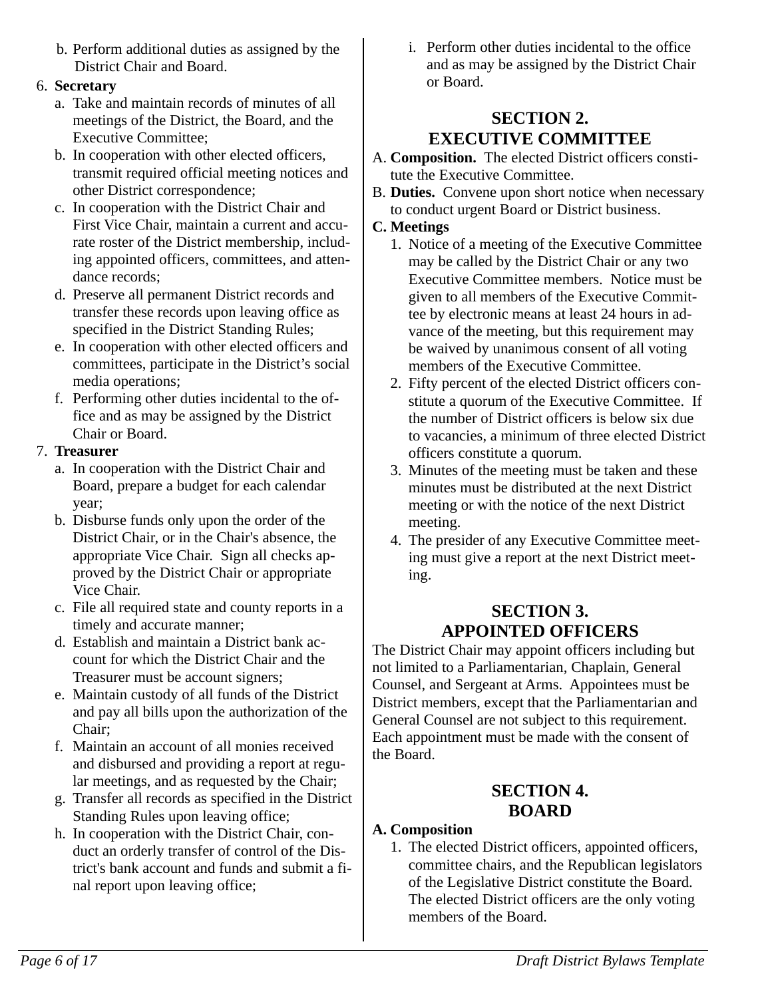b. Perform additional duties as assigned by the District Chair and Board.

## 6. **Secretary**

- a. Take and maintain records of minutes of all meetings of the District, the Board, and the Executive Committee;
- b. In cooperation with other elected officers, transmit required official meeting notices and other District correspondence;
- c. In cooperation with the District Chair and First Vice Chair, maintain a current and accurate roster of the District membership, including appointed officers, committees, and attendance records;
- d. Preserve all permanent District records and transfer these records upon leaving office as specified in the District Standing Rules;
- e. In cooperation with other elected officers and committees, participate in the District's social media operations;
- f. Performing other duties incidental to the office and as may be assigned by the District Chair or Board.

## 7. **Treasurer**

- a. In cooperation with the District Chair and Board, prepare a budget for each calendar year;
- b. Disburse funds only upon the order of the District Chair, or in the Chair's absence, the appropriate Vice Chair. Sign all checks approved by the District Chair or appropriate Vice Chair.
- c. File all required state and county reports in a timely and accurate manner;
- d. Establish and maintain a District bank account for which the District Chair and the Treasurer must be account signers;
- e. Maintain custody of all funds of the District and pay all bills upon the authorization of the Chair;
- f. Maintain an account of all monies received and disbursed and providing a report at regular meetings, and as requested by the Chair;
- g. Transfer all records as specified in the District Standing Rules upon leaving office;
- h. In cooperation with the District Chair, conduct an orderly transfer of control of the District's bank account and funds and submit a final report upon leaving office;

i. Perform other duties incidental to the office and as may be assigned by the District Chair or Board.

## <span id="page-5-2"></span>**SECTION 2. EXECUTIVE COMMITTEE**

- A. **Composition.** The elected District officers constitute the Executive Committee.
- B. **Duties.** Convene upon short notice when necessary to conduct urgent Board or District business.

## **C. Meetings**

- 1. Notice of a meeting of the Executive Committee may be called by the District Chair or any two Executive Committee members. Notice must be given to all members of the Executive Committee by electronic means at least 24 hours in advance of the meeting, but this requirement may be waived by unanimous consent of all voting members of the Executive Committee.
- 2. Fifty percent of the elected District officers constitute a quorum of the Executive Committee. If the number of District officers is below six due to vacancies, a minimum of three elected District officers constitute a quorum.
- 3. Minutes of the meeting must be taken and these minutes must be distributed at the next District meeting or with the notice of the next District meeting.
- 4. The presider of any Executive Committee meeting must give a report at the next District meeting.

## <span id="page-5-1"></span>**SECTION 3. APPOINTED OFFICERS**

The District Chair may appoint officers including but not limited to a Parliamentarian, Chaplain, General Counsel, and Sergeant at Arms. Appointees must be District members, except that the Parliamentarian and General Counsel are not subject to this requirement. Each appointment must be made with the consent of the Board.

## <span id="page-5-0"></span>**SECTION 4. BOARD**

## **A. Composition**

1. The elected District officers, appointed officers, committee chairs, and the Republican legislators of the Legislative District constitute the Board. The elected District officers are the only voting members of the Board.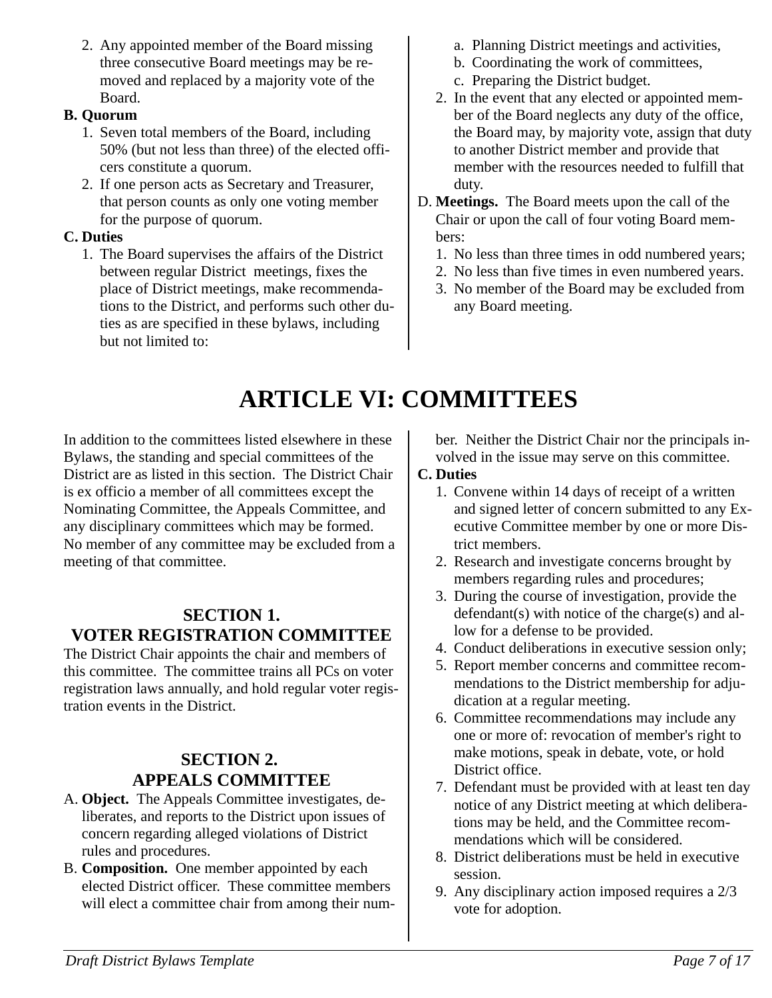2. Any appointed member of the Board missing three consecutive Board meetings may be removed and replaced by a majority vote of the Board.

## **B. Quorum**

- 1. Seven total members of the Board, including 50% (but not less than three) of the elected officers constitute a quorum.
- 2. If one person acts as Secretary and Treasurer, that person counts as only one voting member for the purpose of quorum.

## **C. Duties**

1. The Board supervises the affairs of the District between regular District meetings, fixes the place of District meetings, make recommendations to the District, and performs such other duties as are specified in these bylaws, including but not limited to:

- a. Planning District meetings and activities,
- b. Coordinating the work of committees,
- c. Preparing the District budget.
- 2. In the event that any elected or appointed member of the Board neglects any duty of the office, the Board may, by majority vote, assign that duty to another District member and provide that member with the resources needed to fulfill that duty.
- D. **Meetings.** The Board meets upon the call of the Chair or upon the call of four voting Board members:
	- 1. No less than three times in odd numbered years;
	- 2. No less than five times in even numbered years.
	- 3. No member of the Board may be excluded from any Board meeting.

# <span id="page-6-2"></span>**ARTICLE VI: COMMITTEES**

In addition to the committees listed elsewhere in these Bylaws, the standing and special committees of the District are as listed in this section. The District Chair is ex officio a member of all committees except the Nominating Committee, the Appeals Committee, and any disciplinary committees which may be formed. No member of any committee may be excluded from a meeting of that committee.

## <span id="page-6-1"></span>**SECTION 1. VOTER REGISTRATION COMMITTEE**

The District Chair appoints the chair and members of this committee. The committee trains all PCs on voter registration laws annually, and hold regular voter registration events in the District.

## <span id="page-6-0"></span>**SECTION 2. APPEALS COMMITTEE**

- A. **Object.** The Appeals Committee investigates, deliberates, and reports to the District upon issues of concern regarding alleged violations of District rules and procedures.
- B. **Composition.** One member appointed by each elected District officer. These committee members will elect a committee chair from among their num-

ber. Neither the District Chair nor the principals involved in the issue may serve on this committee.

## **C. Duties**

- 1. Convene within 14 days of receipt of a written and signed letter of concern submitted to any Executive Committee member by one or more District members.
- 2. Research and investigate concerns brought by members regarding rules and procedures;
- 3. During the course of investigation, provide the defendant(s) with notice of the charge(s) and allow for a defense to be provided.
- 4. Conduct deliberations in executive session only;
- 5. Report member concerns and committee recommendations to the District membership for adjudication at a regular meeting.
- 6. Committee recommendations may include any one or more of: revocation of member's right to make motions, speak in debate, vote, or hold District office.
- 7. Defendant must be provided with at least ten day notice of any District meeting at which deliberations may be held, and the Committee recommendations which will be considered.
- 8. District deliberations must be held in executive session.
- 9. Any disciplinary action imposed requires a 2/3 vote for adoption.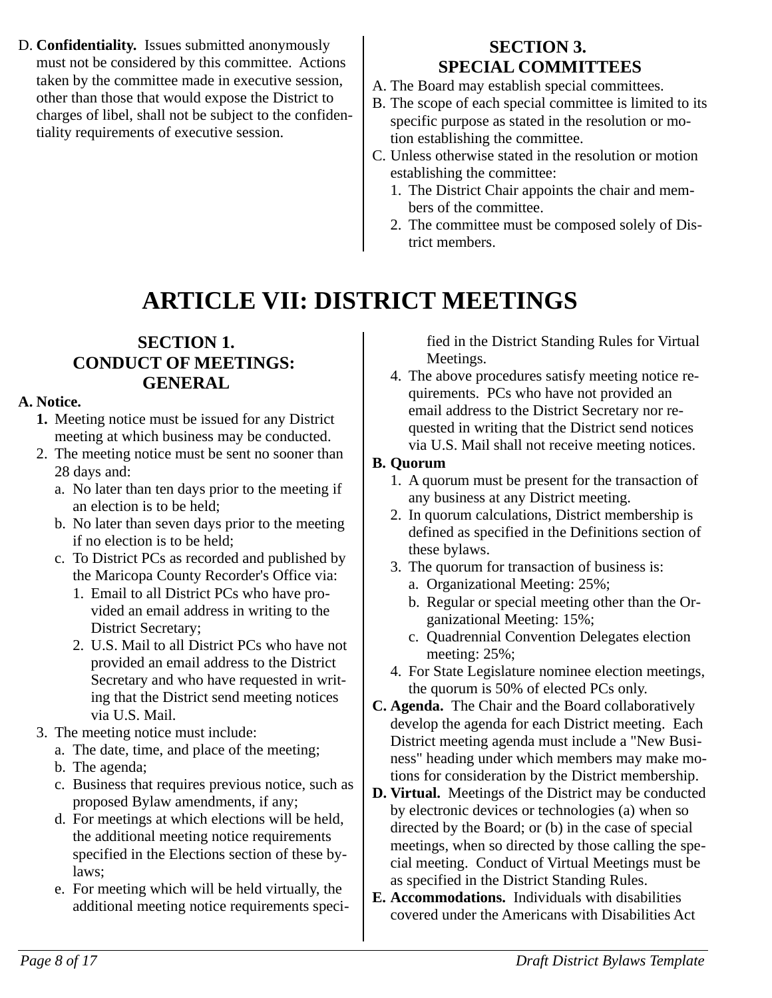D. **Confidentiality.** Issues submitted anonymously must not be considered by this committee. Actions taken by the committee made in executive session, other than those that would expose the District to charges of libel, shall not be subject to the confidentiality requirements of executive session.

## <span id="page-7-2"></span>**SECTION 3. SPECIAL COMMITTEES**

- A. The Board may establish special committees.
- B. The scope of each special committee is limited to its specific purpose as stated in the resolution or motion establishing the committee.
- C. Unless otherwise stated in the resolution or motion establishing the committee:
	- 1. The District Chair appoints the chair and members of the committee.
	- 2. The committee must be composed solely of District members.

# <span id="page-7-1"></span><span id="page-7-0"></span>**ARTICLE VII: DISTRICT MEETINGS**

## **SECTION 1. CONDUCT OF MEETINGS: GENERAL**

## **A. Notice.**

- **1.** Meeting notice must be issued for any District meeting at which business may be conducted.
- 2. The meeting notice must be sent no sooner than 28 days and:
	- a. No later than ten days prior to the meeting if an election is to be held;
	- b. No later than seven days prior to the meeting if no election is to be held;
	- c. To District PCs as recorded and published by the Maricopa County Recorder's Office via:
		- 1. Email to all District PCs who have provided an email address in writing to the District Secretary;
		- 2. U.S. Mail to all District PCs who have not provided an email address to the District Secretary and who have requested in writing that the District send meeting notices via U.S. Mail.
- 3. The meeting notice must include:
	- a. The date, time, and place of the meeting;
	- b. The agenda;
	- c. Business that requires previous notice, such as proposed Bylaw amendments, if any;
	- d. For meetings at which elections will be held, the additional meeting notice requirements specified in the Elections section of these bylaws;
	- e. For meeting which will be held virtually, the additional meeting notice requirements speci-

fied in the District Standing Rules for Virtual Meetings.

4. The above procedures satisfy meeting notice requirements. PCs who have not provided an email address to the District Secretary nor requested in writing that the District send notices via U.S. Mail shall not receive meeting notices.

## **B. Quorum**

- 1. A quorum must be present for the transaction of any business at any District meeting.
- 2. In quorum calculations, District membership is defined as specified in the Definitions section of these bylaws.
- 3. The quorum for transaction of business is:
	- a. Organizational Meeting: 25%;
	- b. Regular or special meeting other than the Organizational Meeting: 15%;
	- c. Quadrennial Convention Delegates election meeting: 25%;
- 4. For State Legislature nominee election meetings, the quorum is 50% of elected PCs only.
- **C. Agenda.** The Chair and the Board collaboratively develop the agenda for each District meeting. Each District meeting agenda must include a "New Business" heading under which members may make motions for consideration by the District membership.
- **D. Virtual.** Meetings of the District may be conducted by electronic devices or technologies (a) when so directed by the Board; or (b) in the case of special meetings, when so directed by those calling the special meeting. Conduct of Virtual Meetings must be as specified in the District Standing Rules.
- **E. Accommodations.** Individuals with disabilities covered under the Americans with Disabilities Act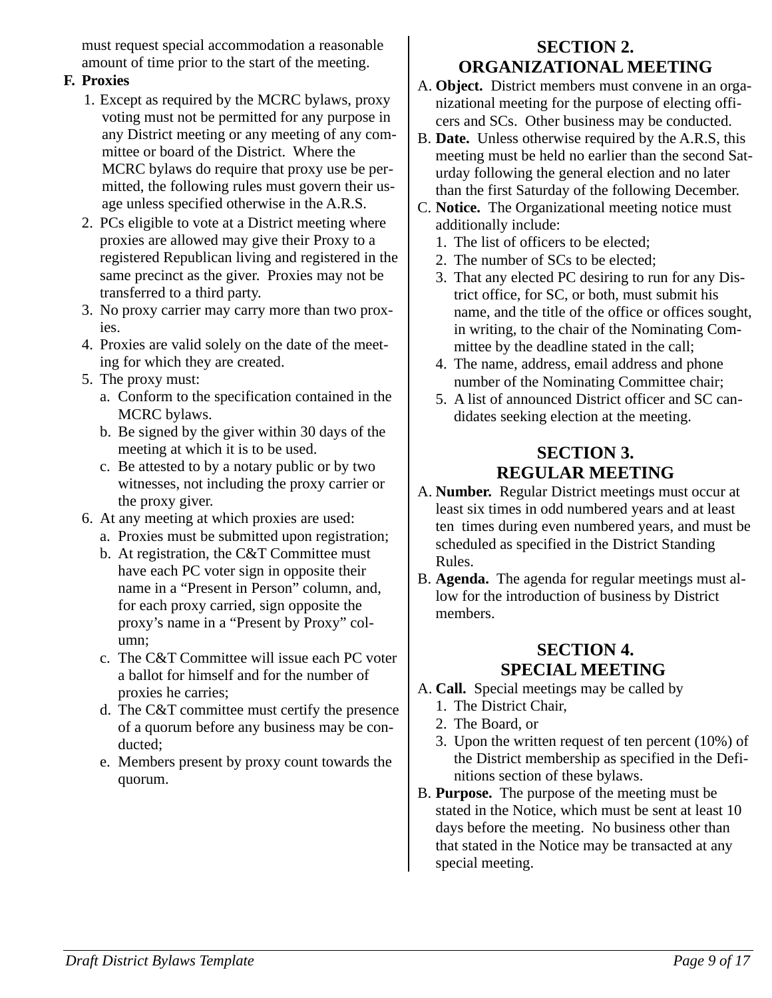must request special accommodation a reasonable amount of time prior to the start of the meeting.

## **F. Proxies**

- 1. Except as required by the MCRC bylaws, proxy voting must not be permitted for any purpose in any District meeting or any meeting of any committee or board of the District. Where the MCRC bylaws do require that proxy use be permitted, the following rules must govern their usage unless specified otherwise in the A.R.S.
- 2. PCs eligible to vote at a District meeting where proxies are allowed may give their Proxy to a registered Republican living and registered in the same precinct as the giver. Proxies may not be transferred to a third party.
- 3. No proxy carrier may carry more than two proxies.
- 4. Proxies are valid solely on the date of the meeting for which they are created.
- 5. The proxy must:
	- a. Conform to the specification contained in the MCRC bylaws.
	- b. Be signed by the giver within 30 days of the meeting at which it is to be used.
	- c. Be attested to by a notary public or by two witnesses, not including the proxy carrier or the proxy giver.
- 6. At any meeting at which proxies are used: a. Proxies must be submitted upon registration;
	- b. At registration, the C&T Committee must have each PC voter sign in opposite their name in a "Present in Person" column, and, for each proxy carried, sign opposite the proxy's name in a "Present by Proxy" column;
	- c. The C&T Committee will issue each PC voter a ballot for himself and for the number of proxies he carries;
	- d. The C&T committee must certify the presence of a quorum before any business may be conducted;
	- e. Members present by proxy count towards the quorum.

## <span id="page-8-2"></span>**SECTION 2. ORGANIZATIONAL MEETING**

- A. **Object.** District members must convene in an organizational meeting for the purpose of electing officers and SCs. Other business may be conducted.
- B. **Date.** Unless otherwise required by the A.R.S, this meeting must be held no earlier than the second Saturday following the general election and no later than the first Saturday of the following December.
- C. **Notice.** The Organizational meeting notice must additionally include:
	- 1. The list of officers to be elected;
	- 2. The number of SCs to be elected;
	- 3. That any elected PC desiring to run for any District office, for SC, or both, must submit his name, and the title of the office or offices sought, in writing, to the chair of the Nominating Committee by the deadline stated in the call;
	- 4. The name, address, email address and phone number of the Nominating Committee chair;
	- 5. A list of announced District officer and SC candidates seeking election at the meeting.

## <span id="page-8-1"></span>**SECTION 3. REGULAR MEETING**

- A. **Number.** Regular District meetings must occur at least six times in odd numbered years and at least ten times during even numbered years, and must be scheduled as specified in the District Standing Rules.
- B. **Agenda.** The agenda for regular meetings must allow for the introduction of business by District members.

## <span id="page-8-0"></span>**SECTION 4. SPECIAL MEETING**

- A. **Call.** Special meetings may be called by
	- 1. The District Chair,
	- 2. The Board, or
	- 3. Upon the written request of ten percent (10%) of the District membership as specified in the Definitions section of these bylaws.
- B. **Purpose.** The purpose of the meeting must be stated in the Notice, which must be sent at least 10 days before the meeting. No business other than that stated in the Notice may be transacted at any special meeting.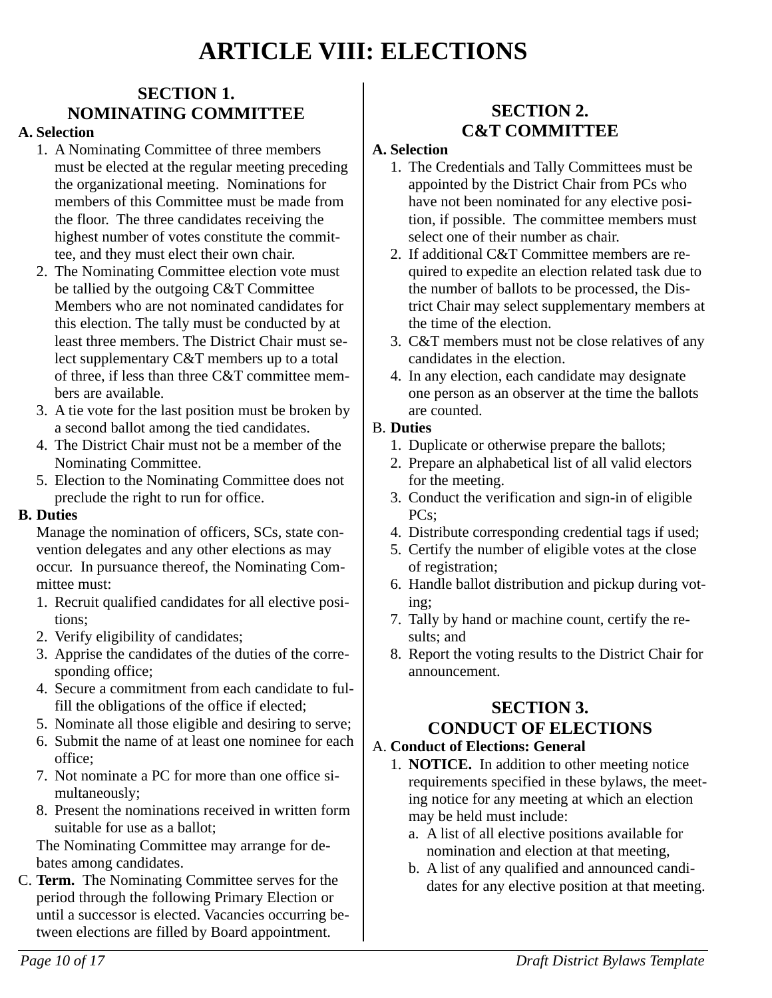## <span id="page-9-4"></span>**ARTICLE VIII: ELECTIONS**

## <span id="page-9-3"></span>**SECTION 1. NOMINATING COMMITTEE**

#### **A. Selection**

- 1. A Nominating Committee of three members must be elected at the regular meeting preceding the organizational meeting. Nominations for members of this Committee must be made from the floor. The three candidates receiving the highest number of votes constitute the committee, and they must elect their own chair.
- 2. The Nominating Committee election vote must be tallied by the outgoing C&T Committee Members who are not nominated candidates for this election. The tally must be conducted by at least three members. The District Chair must select supplementary C&T members up to a total of three, if less than three C&T committee members are available.
- 3. A tie vote for the last position must be broken by a second ballot among the tied candidates.
- 4. The District Chair must not be a member of the Nominating Committee.
- 5. Election to the Nominating Committee does not preclude the right to run for office.

#### **B. Duties**

Manage the nomination of officers, SCs, state convention delegates and any other elections as may occur. In pursuance thereof, the Nominating Committee must:

- 1. Recruit qualified candidates for all elective positions;
- 2. Verify eligibility of candidates;
- 3. Apprise the candidates of the duties of the corresponding office;
- 4. Secure a commitment from each candidate to fulfill the obligations of the office if elected;
- 5. Nominate all those eligible and desiring to serve;
- 6. Submit the name of at least one nominee for each office;
- 7. Not nominate a PC for more than one office simultaneously;
- 8. Present the nominations received in written form suitable for use as a ballot;

The Nominating Committee may arrange for debates among candidates.

C. **Term.** The Nominating Committee serves for the period through the following Primary Election or until a successor is elected. Vacancies occurring between elections are filled by Board appointment.

## <span id="page-9-2"></span>**SECTION 2. C&T COMMITTEE**

#### **A. Selection**

- 1. The Credentials and Tally Committees must be appointed by the District Chair from PCs who have not been nominated for any elective position, if possible. The committee members must select one of their number as chair.
- 2. If additional C&T Committee members are required to expedite an election related task due to the number of ballots to be processed, the District Chair may select supplementary members at the time of the election.
- 3. C&T members must not be close relatives of any candidates in the election.
- 4. In any election, each candidate may designate one person as an observer at the time the ballots are counted.

#### B. **Duties**

- 1. Duplicate or otherwise prepare the ballots;
- 2. Prepare an alphabetical list of all valid electors for the meeting.
- 3. Conduct the verification and sign-in of eligible PCs;
- 4. Distribute corresponding credential tags if used;
- 5. Certify the number of eligible votes at the close of registration;
- 6. Handle ballot distribution and pickup during voting;
- 7. Tally by hand or machine count, certify the results; and
- 8. Report the voting results to the District Chair for announcement.

## <span id="page-9-1"></span>**SECTION 3.**

## **CONDUCT OF ELECTIONS**

#### <span id="page-9-0"></span>A. **Conduct of Elections: General**

- 1. **NOTICE.** In addition to other meeting notice requirements specified in these bylaws, the meeting notice for any meeting at which an election may be held must include:
	- a. A list of all elective positions available for nomination and election at that meeting,
	- b. A list of any qualified and announced candidates for any elective position at that meeting.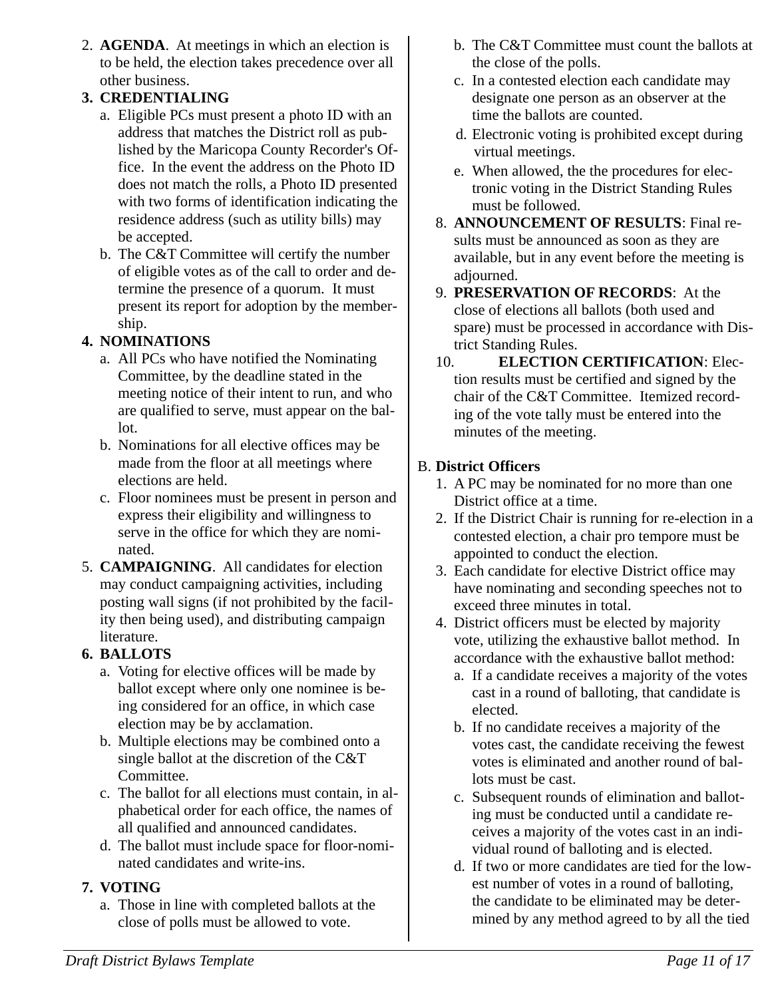2. **AGENDA**. At meetings in which an election is to be held, the election takes precedence over all other business.

## **3. CREDENTIALING**

- a. Eligible PCs must present a photo ID with an address that matches the District roll as published by the Maricopa County Recorder's Office. In the event the address on the Photo ID does not match the rolls, a Photo ID presented with two forms of identification indicating the residence address (such as utility bills) may be accepted.
- b. The C&T Committee will certify the number of eligible votes as of the call to order and determine the presence of a quorum. It must present its report for adoption by the membership.

## **4. NOMINATIONS**

- a. All PCs who have notified the Nominating Committee, by the deadline stated in the meeting notice of their intent to run, and who are qualified to serve, must appear on the ballot.
- b. Nominations for all elective offices may be made from the floor at all meetings where elections are held.
- c. Floor nominees must be present in person and express their eligibility and willingness to serve in the office for which they are nominated.
- 5. **CAMPAIGNING**. All candidates for election may conduct campaigning activities, including posting wall signs (if not prohibited by the facility then being used), and distributing campaign literature.

## **6. BALLOTS**

- a. Voting for elective offices will be made by ballot except where only one nominee is being considered for an office, in which case election may be by acclamation.
- b. Multiple elections may be combined onto a single ballot at the discretion of the C&T Committee.
- c. The ballot for all elections must contain, in alphabetical order for each office, the names of all qualified and announced candidates.
- d. The ballot must include space for floor-nominated candidates and write-ins.

## **7. VOTING**

a. Those in line with completed ballots at the close of polls must be allowed to vote.

- b. The C&T Committee must count the ballots at the close of the polls.
- c. In a contested election each candidate may designate one person as an observer at the time the ballots are counted.
- d. Electronic voting is prohibited except during virtual meetings.
- e. When allowed, the the procedures for electronic voting in the District Standing Rules must be followed.
- 8. **ANNOUNCEMENT OF RESULTS**: Final results must be announced as soon as they are available, but in any event before the meeting is adjourned.
- 9. **PRESERVATION OF RECORDS**: At the close of elections all ballots (both used and spare) must be processed in accordance with District Standing Rules.
- 10. **ELECTION CERTIFICATION**: Election results must be certified and signed by the chair of the C&T Committee. Itemized recording of the vote tally must be entered into the minutes of the meeting.

## B. **District Officers**

- <span id="page-10-0"></span>1. A PC may be nominated for no more than one District office at a time.
- 2. If the District Chair is running for re-election in a contested election, a chair pro tempore must be appointed to conduct the election.
- 3. Each candidate for elective District office may have nominating and seconding speeches not to exceed three minutes in total.
- 4. District officers must be elected by majority vote, utilizing the exhaustive ballot method. In accordance with the exhaustive ballot method:
	- a. If a candidate receives a majority of the votes cast in a round of balloting, that candidate is elected.
	- b. If no candidate receives a majority of the votes cast, the candidate receiving the fewest votes is eliminated and another round of ballots must be cast.
	- c. Subsequent rounds of elimination and balloting must be conducted until a candidate receives a majority of the votes cast in an individual round of balloting and is elected.
	- d. If two or more candidates are tied for the lowest number of votes in a round of balloting, the candidate to be eliminated may be determined by any method agreed to by all the tied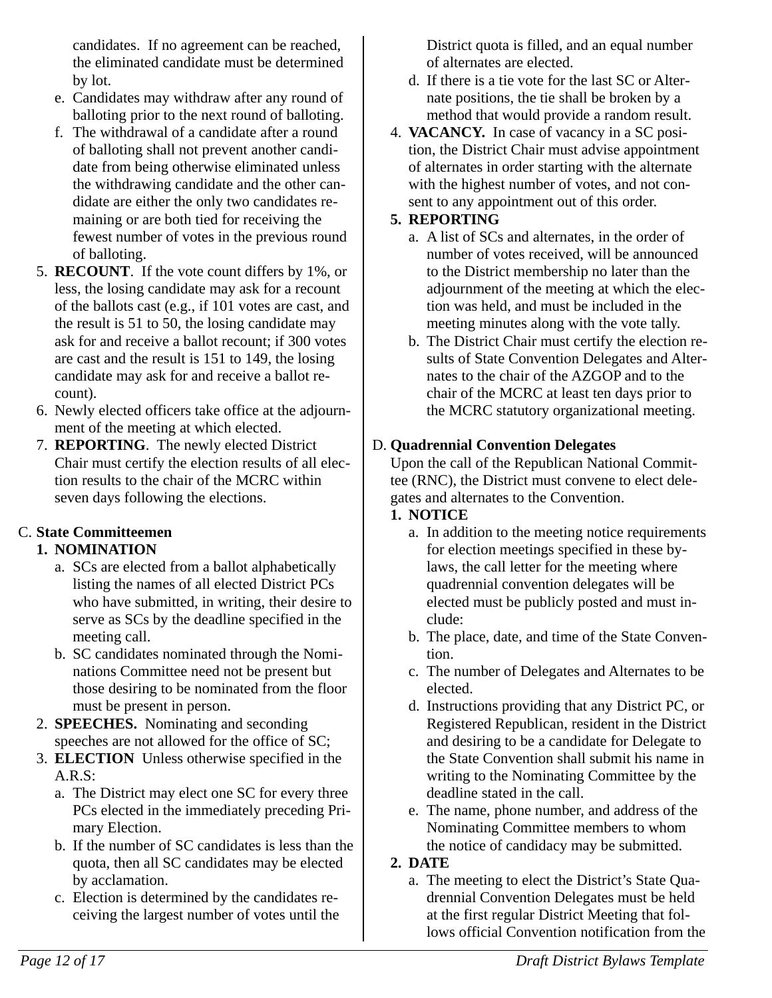candidates. If no agreement can be reached, the eliminated candidate must be determined by lot.

- e. Candidates may withdraw after any round of balloting prior to the next round of balloting.
- f. The withdrawal of a candidate after a round of balloting shall not prevent another candidate from being otherwise eliminated unless the withdrawing candidate and the other candidate are either the only two candidates remaining or are both tied for receiving the fewest number of votes in the previous round of balloting.
- 5. **RECOUNT**. If the vote count differs by 1%, or less, the losing candidate may ask for a recount of the ballots cast (e.g., if 101 votes are cast, and the result is 51 to 50, the losing candidate may ask for and receive a ballot recount; if 300 votes are cast and the result is 151 to 149, the losing candidate may ask for and receive a ballot recount).
- 6. Newly elected officers take office at the adjournment of the meeting at which elected.
- 7. **REPORTING**. The newly elected District Chair must certify the election results of all election results to the chair of the MCRC within seven days following the elections.

## C. **State Committeemen**

## <span id="page-11-1"></span>**1. NOMINATION**

- a. SCs are elected from a ballot alphabetically listing the names of all elected District PCs who have submitted, in writing, their desire to serve as SCs by the deadline specified in the meeting call.
- b. SC candidates nominated through the Nominations Committee need not be present but those desiring to be nominated from the floor must be present in person.
- 2. **SPEECHES.** Nominating and seconding speeches are not allowed for the office of SC;
- 3. **ELECTION** Unless otherwise specified in the A.R.S:
	- a. The District may elect one SC for every three PCs elected in the immediately preceding Primary Election.
	- b. If the number of SC candidates is less than the quota, then all SC candidates may be elected by acclamation.
	- c. Election is determined by the candidates receiving the largest number of votes until the

District quota is filled, and an equal number of alternates are elected.

- d. If there is a tie vote for the last SC or Alternate positions, the tie shall be broken by a method that would provide a random result.
- 4. **VACANCY.** In case of vacancy in a SC position, the District Chair must advise appointment of alternates in order starting with the alternate with the highest number of votes, and not consent to any appointment out of this order.

### **5. REPORTING**

- a. A list of SCs and alternates, in the order of number of votes received, will be announced to the District membership no later than the adjournment of the meeting at which the election was held, and must be included in the meeting minutes along with the vote tally.
- b. The District Chair must certify the election results of State Convention Delegates and Alternates to the chair of the AZGOP and to the chair of the MCRC at least ten days prior to the MCRC statutory organizational meeting.

## D. **Quadrennial Convention Delegates**

<span id="page-11-0"></span>Upon the call of the Republican National Committee (RNC), the District must convene to elect delegates and alternates to the Convention.

## **1. NOTICE**

- a. In addition to the meeting notice requirements for election meetings specified in these bylaws, the call letter for the meeting where quadrennial convention delegates will be elected must be publicly posted and must include:
- b. The place, date, and time of the State Convention.
- c. The number of Delegates and Alternates to be elected.
- d. Instructions providing that any District PC, or Registered Republican, resident in the District and desiring to be a candidate for Delegate to the State Convention shall submit his name in writing to the Nominating Committee by the deadline stated in the call.
- e. The name, phone number, and address of the Nominating Committee members to whom the notice of candidacy may be submitted.

## **2. DATE**

a. The meeting to elect the District's State Quadrennial Convention Delegates must be held at the first regular District Meeting that follows official Convention notification from the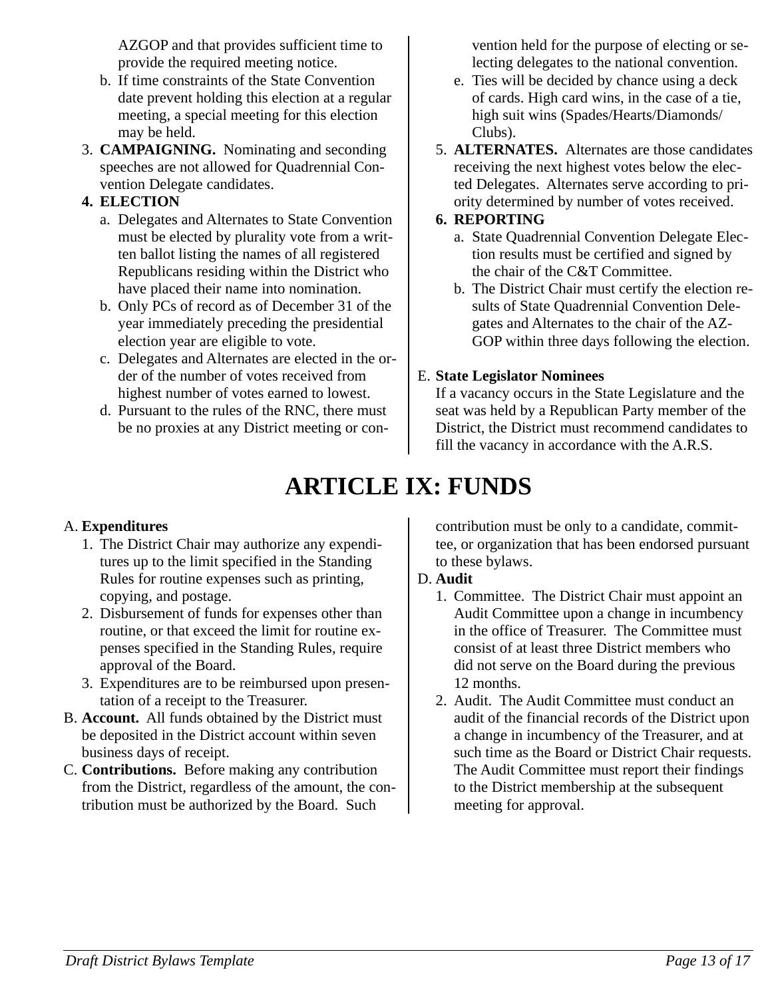AZGOP and that provides sufficient time to provide the required meeting notice.

- b. If time constraints of the State Convention date prevent holding this election at a regular meeting, a special meeting for this election may be held.
- 3. **CAMPAIGNING.** Nominating and seconding speeches are not allowed for Quadrennial Convention Delegate candidates.

#### **4. ELECTION**

- a. Delegates and Alternates to State Convention must be elected by plurality vote from a written ballot listing the names of all registered Republicans residing within the District who have placed their name into nomination.
- b. Only PCs of record as of December 31 of the year immediately preceding the presidential election year are eligible to vote.
- c. Delegates and Alternates are elected in the order of the number of votes received from highest number of votes earned to lowest.
- d. Pursuant to the rules of the RNC, there must be no proxies at any District meeting or con-

vention held for the purpose of electing or selecting delegates to the national convention.

- e. Ties will be decided by chance using a deck of cards. High card wins, in the case of a tie, high suit wins (Spades/Hearts/Diamonds/ Clubs).
- 5. **ALTERNATES.** Alternates are those candidates receiving the next highest votes below the elected Delegates. Alternates serve according to priority determined by number of votes received.

#### **6. REPORTING**

- a. State Quadrennial Convention Delegate Election results must be certified and signed by the chair of the C&T Committee.
- b. The District Chair must certify the election results of State Quadrennial Convention Delegates and Alternates to the chair of the AZ-GOP within three days following the election.

## E. **State Legislator Nominees**

<span id="page-12-1"></span>If a vacancy occurs in the State Legislature and the seat was held by a Republican Party member of the District, the District must recommend candidates to fill the vacancy in accordance with the A.R.S.

## <span id="page-12-0"></span>**ARTICLE IX: FUNDS**

## A. **Expenditures**

- 1. The District Chair may authorize any expenditures up to the limit specified in the Standing Rules for routine expenses such as printing, copying, and postage.
- 2. Disbursement of funds for expenses other than routine, or that exceed the limit for routine expenses specified in the Standing Rules, require approval of the Board.
- 3. Expenditures are to be reimbursed upon presentation of a receipt to the Treasurer.
- B. **Account.** All funds obtained by the District must be deposited in the District account within seven business days of receipt.
- C. **Contributions.** Before making any contribution from the District, regardless of the amount, the contribution must be authorized by the Board. Such

contribution must be only to a candidate, committee, or organization that has been endorsed pursuant to these bylaws.

## D. **Audit**

- 1. Committee. The District Chair must appoint an Audit Committee upon a change in incumbency in the office of Treasurer. The Committee must consist of at least three District members who did not serve on the Board during the previous 12 months.
- 2. Audit. The Audit Committee must conduct an audit of the financial records of the District upon a change in incumbency of the Treasurer, and at such time as the Board or District Chair requests. The Audit Committee must report their findings to the District membership at the subsequent meeting for approval.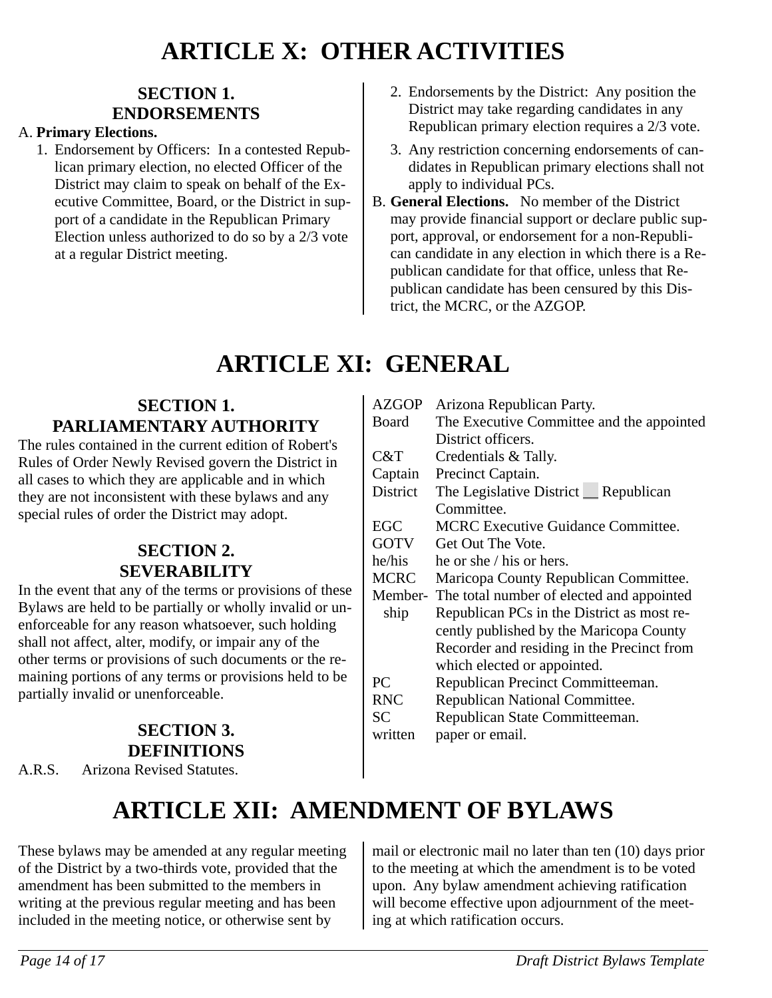## <span id="page-13-6"></span>**ARTICLE X: OTHER ACTIVITIES**

## <span id="page-13-5"></span>**SECTION 1. ENDORSEMENTS**

#### A. **Primary Elections.**

- 1. Endorsement by Officers: In a contested Republican primary election, no elected Officer of the District may claim to speak on behalf of the Executive Committee, Board, or the District in support of a candidate in the Republican Primary Election unless authorized to do so by a 2/3 vote at a regular District meeting.
- 2. Endorsements by the District: Any position the District may take regarding candidates in any Republican primary election requires a 2/3 vote.
- 3. Any restriction concerning endorsements of candidates in Republican primary elections shall not apply to individual PCs.
- B. **General Elections.** No member of the District may provide financial support or declare public support, approval, or endorsement for a non-Republican candidate in any election in which there is a Republican candidate for that office, unless that Republican candidate has been censured by this District, the MCRC, or the AZGOP.

## <span id="page-13-4"></span>**ARTICLE XI: GENERAL**

## <span id="page-13-3"></span>**SECTION 1. PARLIAMENTARY AUTHORITY**

The rules contained in the current edition of Robert's Rules of Order Newly Revised govern the District in all cases to which they are applicable and in which they are not inconsistent with these bylaws and any special rules of order the District may adopt.

## <span id="page-13-2"></span>**SECTION 2. SEVERABILITY**

In the event that any of the terms or provisions of these Bylaws are held to be partially or wholly invalid or unenforceable for any reason whatsoever, such holding shall not affect, alter, modify, or impair any of the other terms or provisions of such documents or the remaining portions of any terms or provisions held to be partially invalid or unenforceable.

## <span id="page-13-1"></span>**SECTION 3. DEFINITIONS**

A.R.S. Arizona Revised Statutes.

| <b>AZGOP</b>    | Arizona Republican Party.                         |
|-----------------|---------------------------------------------------|
| Board           | The Executive Committee and the appointed         |
|                 | District officers.                                |
| C&T             | Credentials & Tally.                              |
| Captain         | Precinct Captain.                                 |
| <b>District</b> | The Legislative District _ Republican             |
|                 | Committee.                                        |
| <b>EGC</b>      | <b>MCRC Executive Guidance Committee.</b>         |
| <b>GOTV</b>     | Get Out The Vote.                                 |
| he/his          | he or she / his or hers.                          |
| <b>MCRC</b>     | Maricopa County Republican Committee.             |
|                 | Member- The total number of elected and appointed |
| ship            | Republican PCs in the District as most re-        |
|                 | cently published by the Maricopa County           |
|                 | Recorder and residing in the Precinct from        |
|                 | which elected or appointed.                       |
| PC              | Republican Precinct Committeeman.                 |
| <b>RNC</b>      | Republican National Committee.                    |
| <b>SC</b>       | Republican State Committeeman.                    |
| written         | paper or email.                                   |
|                 |                                                   |

# <span id="page-13-0"></span>**ARTICLE XII: AMENDMENT OF BYLAWS**

These bylaws may be amended at any regular meeting of the District by a two-thirds vote, provided that the amendment has been submitted to the members in writing at the previous regular meeting and has been included in the meeting notice, or otherwise sent by

mail or electronic mail no later than ten (10) days prior to the meeting at which the amendment is to be voted upon. Any bylaw amendment achieving ratification will become effective upon adjournment of the meeting at which ratification occurs.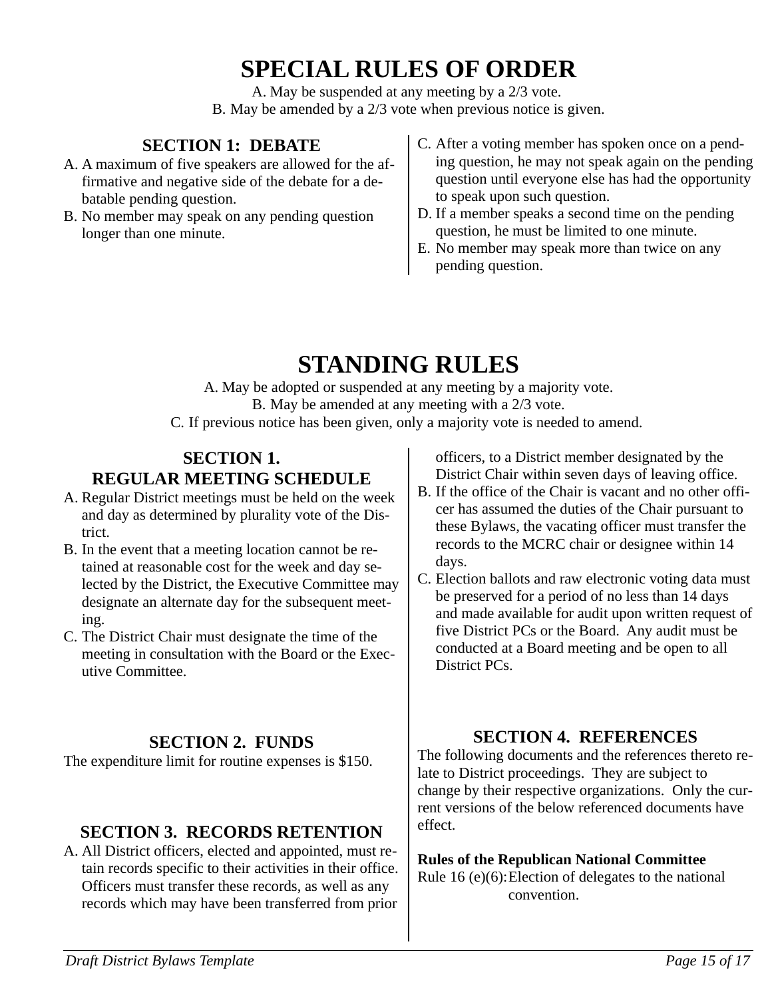## <span id="page-14-6"></span>**SPECIAL RULES OF ORDER**

A. May be suspended at any meeting by a 2/3 vote. B. May be amended by a 2/3 vote when previous notice is given.

## <span id="page-14-5"></span>**SECTION 1: DEBATE**

- A. A maximum of five speakers are allowed for the affirmative and negative side of the debate for a debatable pending question.
- B. No member may speak on any pending question longer than one minute.
- C. After a voting member has spoken once on a pending question, he may not speak again on the pending question until everyone else has had the opportunity to speak upon such question.
- D. If a member speaks a second time on the pending question, he must be limited to one minute.
- E. No member may speak more than twice on any pending question.

## <span id="page-14-4"></span>**STANDING RULES**

A. May be adopted or suspended at any meeting by a majority vote. B. May be amended at any meeting with a 2/3 vote.

<span id="page-14-3"></span>C. If previous notice has been given, only a majority vote is needed to amend.

### **SECTION 1. REGULAR MEETING SCHEDULE**

- A. Regular District meetings must be held on the week and day as determined by plurality vote of the District.
- B. In the event that a meeting location cannot be retained at reasonable cost for the week and day selected by the District, the Executive Committee may designate an alternate day for the subsequent meeting.
- C. The District Chair must designate the time of the meeting in consultation with the Board or the Executive Committee.

## <span id="page-14-2"></span>**SECTION 2. FUNDS**

The expenditure limit for routine expenses is \$150.

## <span id="page-14-1"></span>**SECTION 3. RECORDS RETENTION**

A. All District officers, elected and appointed, must retain records specific to their activities in their office. Officers must transfer these records, as well as any records which may have been transferred from prior

officers, to a District member designated by the District Chair within seven days of leaving office.

- B. If the office of the Chair is vacant and no other officer has assumed the duties of the Chair pursuant to these Bylaws, the vacating officer must transfer the records to the MCRC chair or designee within 14 days.
- C. Election ballots and raw electronic voting data must be preserved for a period of no less than 14 days and made available for audit upon written request of five District PCs or the Board. Any audit must be conducted at a Board meeting and be open to all District PCs.

## <span id="page-14-0"></span>**SECTION 4. REFERENCES**

The following documents and the references thereto relate to District proceedings. They are subject to change by their respective organizations. Only the current versions of the below referenced documents have effect.

**Rules of the Republican National Committee** Rule 16 (e)(6):Election of delegates to the national convention.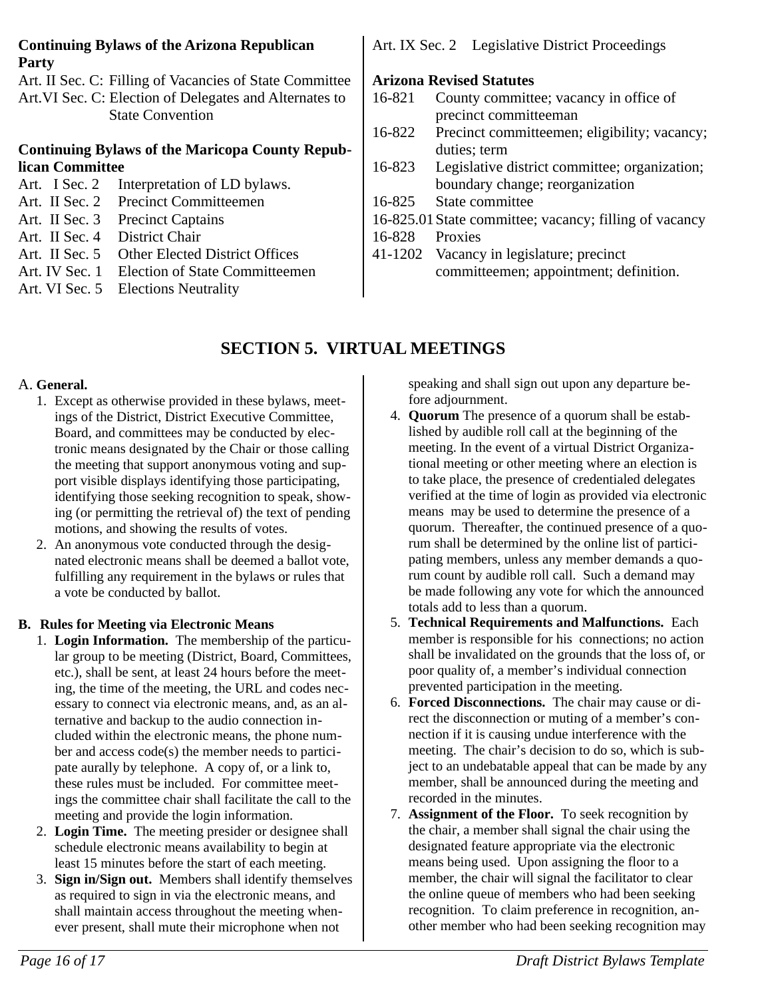#### **Continuing Bylaws of the Arizona Republican Party**

Art. II Sec. C: Filling of Vacancies of State Committee Art.VI Sec. C: Election of Delegates and Alternates to State Convention

#### **Continuing Bylaws of the Maricopa County Republican Committee**

- Art. I Sec. 2 Interpretation of LD bylaws. Art. II Sec. 2 Precinct Committeemen Art. II Sec. 3 Precinct Captains
- Art. II Sec. 4 District Chair
- Art. II Sec. 5 Other Elected District Offices
- Art. IV Sec. 1 Election of State Committeemen
- Art. VI Sec. 5 Elections Neutrality

Art. IX Sec. 2 Legislative District Proceedings

#### **Arizona Revised Statutes**

- 16-821 County committee; vacancy in office of precinct committeeman
- 16-822 Precinct committeemen; eligibility; vacancy; duties; term
- 16-823 Legislative district committee; organization; boundary change; reorganization
- 16-825 State committee
- 16-825.01State committee; vacancy; filling of vacancy
- 16-828 Proxies
- 41-1202 Vacancy in legislature; precinct committeemen; appointment; definition.

## <span id="page-15-0"></span>**SECTION 5. VIRTUAL MEETINGS**

#### A. **General.**

- 1. Except as otherwise provided in these bylaws, meetings of the District, District Executive Committee, Board, and committees may be conducted by electronic means designated by the Chair or those calling the meeting that support anonymous voting and support visible displays identifying those participating, identifying those seeking recognition to speak, showing (or permitting the retrieval of) the text of pending motions, and showing the results of votes.
- 2. An anonymous vote conducted through the designated electronic means shall be deemed a ballot vote, fulfilling any requirement in the bylaws or rules that a vote be conducted by ballot.

## **B. Rules for Meeting via Electronic Means**

- 1. **Login Information.** The membership of the particular group to be meeting (District, Board, Committees, etc.), shall be sent, at least 24 hours before the meeting, the time of the meeting, the URL and codes necessary to connect via electronic means, and, as an alternative and backup to the audio connection included within the electronic means, the phone number and access code(s) the member needs to participate aurally by telephone. A copy of, or a link to, these rules must be included. For committee meetings the committee chair shall facilitate the call to the meeting and provide the login information.
- 2. **Login Time.** The meeting presider or designee shall schedule electronic means availability to begin at least 15 minutes before the start of each meeting.
- 3. **Sign in/Sign out.** Members shall identify themselves as required to sign in via the electronic means, and shall maintain access throughout the meeting whenever present, shall mute their microphone when not

speaking and shall sign out upon any departure before adjournment.

- 4. **Quorum** The presence of a quorum shall be established by audible roll call at the beginning of the meeting. In the event of a virtual District Organizational meeting or other meeting where an election is to take place, the presence of credentialed delegates verified at the time of login as provided via electronic means may be used to determine the presence of a quorum. Thereafter, the continued presence of a quorum shall be determined by the online list of participating members, unless any member demands a quorum count by audible roll call. Such a demand may be made following any vote for which the announced totals add to less than a quorum.
- 5. **Technical Requirements and Malfunctions.** Each member is responsible for his connections; no action shall be invalidated on the grounds that the loss of, or poor quality of, a member's individual connection prevented participation in the meeting.
- 6. **Forced Disconnections.** The chair may cause or direct the disconnection or muting of a member's connection if it is causing undue interference with the meeting. The chair's decision to do so, which is subject to an undebatable appeal that can be made by any member, shall be announced during the meeting and recorded in the minutes.
- 7. **Assignment of the Floor.** To seek recognition by the chair, a member shall signal the chair using the designated feature appropriate via the electronic means being used. Upon assigning the floor to a member, the chair will signal the facilitator to clear the online queue of members who had been seeking recognition. To claim preference in recognition, another member who had been seeking recognition may